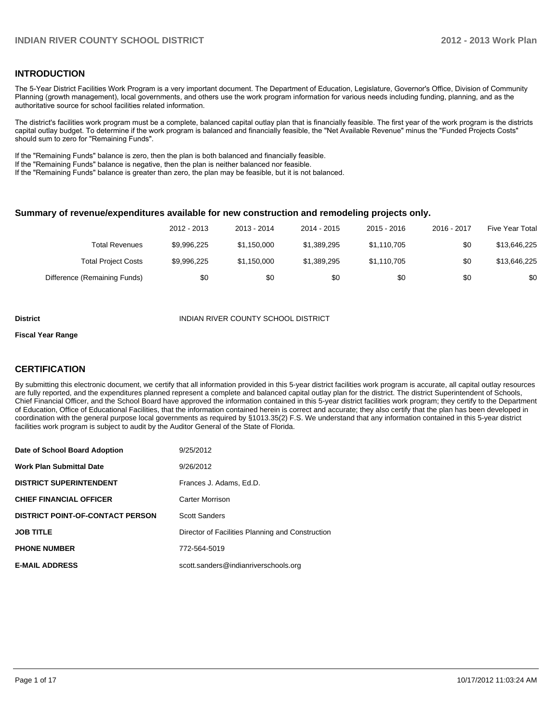#### **INTRODUCTION**

The 5-Year District Facilities Work Program is a very important document. The Department of Education, Legislature, Governor's Office, Division of Community Planning (growth management), local governments, and others use the work program information for various needs including funding, planning, and as the authoritative source for school facilities related information.

The district's facilities work program must be a complete, balanced capital outlay plan that is financially feasible. The first year of the work program is the districts capital outlay budget. To determine if the work program is balanced and financially feasible, the "Net Available Revenue" minus the "Funded Projects Costs" should sum to zero for "Remaining Funds".

If the "Remaining Funds" balance is zero, then the plan is both balanced and financially feasible.

If the "Remaining Funds" balance is negative, then the plan is neither balanced nor feasible.

If the "Remaining Funds" balance is greater than zero, the plan may be feasible, but it is not balanced.

#### **Summary of revenue/expenditures available for new construction and remodeling projects only.**

|                              | 2012 - 2013 | 2013 - 2014 | 2014 - 2015 | $2015 - 2016$ | 2016 - 2017 | <b>Five Year Total</b> |
|------------------------------|-------------|-------------|-------------|---------------|-------------|------------------------|
| <b>Total Revenues</b>        | \$9.996.225 | \$1.150.000 | \$1,389,295 | \$1,110,705   | \$0         | \$13,646,225           |
| <b>Total Project Costs</b>   | \$9,996,225 | \$1.150.000 | \$1,389,295 | \$1.110.705   | \$0         | \$13,646,225           |
| Difference (Remaining Funds) | \$0         | \$0         | \$0         | \$0           | \$0         | \$0                    |

#### **District INDIAN RIVER COUNTY SCHOOL DISTRICT**

#### **Fiscal Year Range**

#### **CERTIFICATION**

By submitting this electronic document, we certify that all information provided in this 5-year district facilities work program is accurate, all capital outlay resources are fully reported, and the expenditures planned represent a complete and balanced capital outlay plan for the district. The district Superintendent of Schools, Chief Financial Officer, and the School Board have approved the information contained in this 5-year district facilities work program; they certify to the Department of Education, Office of Educational Facilities, that the information contained herein is correct and accurate; they also certify that the plan has been developed in coordination with the general purpose local governments as required by §1013.35(2) F.S. We understand that any information contained in this 5-year district facilities work program is subject to audit by the Auditor General of the State of Florida.

| Date of School Board Adoption           | 9/25/2012                                        |
|-----------------------------------------|--------------------------------------------------|
| <b>Work Plan Submittal Date</b>         | 9/26/2012                                        |
| <b>DISTRICT SUPERINTENDENT</b>          | Frances J. Adams. Ed.D.                          |
| <b>CHIEF FINANCIAL OFFICER</b>          | Carter Morrison                                  |
| <b>DISTRICT POINT-OF-CONTACT PERSON</b> | <b>Scott Sanders</b>                             |
| <b>JOB TITLE</b>                        | Director of Facilities Planning and Construction |
| <b>PHONE NUMBER</b>                     | 772-564-5019                                     |
| <b>E-MAIL ADDRESS</b>                   | scott.sanders@indianriverschools.org             |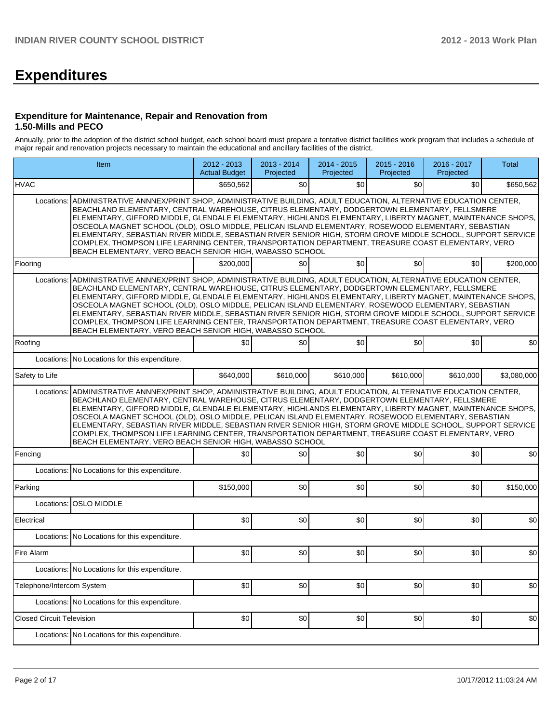# **Expenditures**

#### **Expenditure for Maintenance, Repair and Renovation from 1.50-Mills and PECO**

Annually, prior to the adoption of the district school budget, each school board must prepare a tentative district facilities work program that includes a schedule of major repair and renovation projects necessary to maintain the educational and ancillary facilities of the district.

| Item                             |                                                                                                                                                                                                                                                                                                                                                                                                                                                                                                                                                                                                                                                                                                                                                                                  | $2012 - 2013$<br><b>Actual Budget</b> | 2013 - 2014<br>Projected | 2014 - 2015<br>Projected | $2015 - 2016$<br>Projected | 2016 - 2017<br>Projected | <b>Total</b> |  |  |  |  |  |
|----------------------------------|----------------------------------------------------------------------------------------------------------------------------------------------------------------------------------------------------------------------------------------------------------------------------------------------------------------------------------------------------------------------------------------------------------------------------------------------------------------------------------------------------------------------------------------------------------------------------------------------------------------------------------------------------------------------------------------------------------------------------------------------------------------------------------|---------------------------------------|--------------------------|--------------------------|----------------------------|--------------------------|--------------|--|--|--|--|--|
| <b>HVAC</b>                      |                                                                                                                                                                                                                                                                                                                                                                                                                                                                                                                                                                                                                                                                                                                                                                                  | \$650,562                             | \$0                      | \$0                      | \$0                        | \$0                      | \$650,562    |  |  |  |  |  |
| Locations:                       | ADMINISTRATIVE ANNNEX/PRINT SHOP, ADMINISTRATIVE BUILDING, ADULT EDUCATION, ALTERNATIVE EDUCATION CENTER,<br>BEACHLAND ELEMENTARY, CENTRAL WAREHOUSE, CITRUS ELEMENTARY, DODGERTOWN ELEMENTARY, FELLSMERE<br>ELEMENTARY, GIFFORD MIDDLE, GLENDALE ELEMENTARY, HIGHLANDS ELEMENTARY, LIBERTY MAGNET, MAINTENANCE SHOPS,<br>OSCEOLA MAGNET SCHOOL (OLD), OSLO MIDDLE, PELICAN ISLAND ELEMENTARY, ROSEWOOD ELEMENTARY, SEBASTIAN<br>ELEMENTARY, SEBASTIAN RIVER MIDDLE, SEBASTIAN RIVER SENIOR HIGH, STORM GROVE MIDDLE SCHOOL, SUPPORT SERVICE<br>COMPLEX, THOMPSON LIFE LEARNING CENTER, TRANSPORTATION DEPARTMENT, TREASURE COAST ELEMENTARY, VERO<br>BEACH ELEMENTARY, VERO BEACH SENIOR HIGH, WABASSO SCHOOL<br>\$200,000<br>\$0<br>\$0 <sub>1</sub><br>\$0<br>\$0<br>Flooring |                                       |                          |                          |                            |                          |              |  |  |  |  |  |
|                                  |                                                                                                                                                                                                                                                                                                                                                                                                                                                                                                                                                                                                                                                                                                                                                                                  |                                       |                          |                          |                            |                          | \$200,000    |  |  |  |  |  |
|                                  | Locations:   ADMINISTRATIVE ANNNEX/PRINT SHOP, ADMINISTRATIVE BUILDING, ADULT EDUCATION, ALTERNATIVE EDUCATION CENTER,<br>BEACHLAND ELEMENTARY, CENTRAL WAREHOUSE, CITRUS ELEMENTARY, DODGERTOWN ELEMENTARY, FELLSMERE<br>ELEMENTARY, GIFFORD MIDDLE, GLENDALE ELEMENTARY, HIGHLANDS ELEMENTARY, LIBERTY MAGNET, MAINTENANCE SHOPS,<br>OSCEOLA MAGNET SCHOOL (OLD), OSLO MIDDLE, PELICAN ISLAND ELEMENTARY, ROSEWOOD ELEMENTARY, SEBASTIAN<br>ELEMENTARY, SEBASTIAN RIVER MIDDLE, SEBASTIAN RIVER SENIOR HIGH, STORM GROVE MIDDLE SCHOOL, SUPPORT SERVICE<br>COMPLEX, THOMPSON LIFE LEARNING CENTER, TRANSPORTATION DEPARTMENT, TREASURE COAST ELEMENTARY, VERO<br>BEACH ELEMENTARY, VERO BEACH SENIOR HIGH, WABASSO SCHOOL                                                      |                                       |                          |                          |                            |                          |              |  |  |  |  |  |
| Roofing                          |                                                                                                                                                                                                                                                                                                                                                                                                                                                                                                                                                                                                                                                                                                                                                                                  | \$0                                   | \$0                      | \$0                      | \$0                        | \$0                      | \$0          |  |  |  |  |  |
| Locations:                       | No Locations for this expenditure.                                                                                                                                                                                                                                                                                                                                                                                                                                                                                                                                                                                                                                                                                                                                               |                                       |                          |                          |                            |                          |              |  |  |  |  |  |
| Safety to Life                   |                                                                                                                                                                                                                                                                                                                                                                                                                                                                                                                                                                                                                                                                                                                                                                                  | \$640,000                             | \$610,000                | \$610,000                | \$610,000                  | \$610,000                | \$3,080,000  |  |  |  |  |  |
|                                  | ADMINISTRATIVE ANNNEX/PRINT SHOP, ADMINISTRATIVE BUILDING, ADULT EDUCATION, ALTERNATIVE EDUCATION CENTER,<br>Locations:<br>BEACHLAND ELEMENTARY, CENTRAL WAREHOUSE, CITRUS ELEMENTARY, DODGERTOWN ELEMENTARY, FELLSMERE<br>ELEMENTARY, GIFFORD MIDDLE, GLENDALE ELEMENTARY, HIGHLANDS ELEMENTARY, LIBERTY MAGNET, MAINTENANCE SHOPS,<br>OSCEOLA MAGNET SCHOOL (OLD), OSLO MIDDLE, PELICAN ISLAND ELEMENTARY, ROSEWOOD ELEMENTARY, SEBASTIAN<br>ELEMENTARY, SEBASTIAN RIVER MIDDLE, SEBASTIAN RIVER SENIOR HIGH, STORM GROVE MIDDLE SCHOOL, SUPPORT SERVICE<br>COMPLEX, THOMPSON LIFE LEARNING CENTER, TRANSPORTATION DEPARTMENT, TREASURE COAST ELEMENTARY, VERO<br>BEACH ELEMENTARY, VERO BEACH SENIOR HIGH, WABASSO SCHOOL                                                     |                                       |                          |                          |                            |                          |              |  |  |  |  |  |
| Fencing                          |                                                                                                                                                                                                                                                                                                                                                                                                                                                                                                                                                                                                                                                                                                                                                                                  | \$0                                   | \$0                      | \$0                      | \$0                        | \$0                      | \$0          |  |  |  |  |  |
|                                  | Locations: No Locations for this expenditure.                                                                                                                                                                                                                                                                                                                                                                                                                                                                                                                                                                                                                                                                                                                                    |                                       |                          |                          |                            |                          |              |  |  |  |  |  |
| Parking                          |                                                                                                                                                                                                                                                                                                                                                                                                                                                                                                                                                                                                                                                                                                                                                                                  | \$150,000                             | \$0                      | \$0                      | \$0                        | \$0                      | \$150,000    |  |  |  |  |  |
|                                  | Locations: OSLO MIDDLE                                                                                                                                                                                                                                                                                                                                                                                                                                                                                                                                                                                                                                                                                                                                                           |                                       |                          |                          |                            |                          |              |  |  |  |  |  |
| Electrical                       |                                                                                                                                                                                                                                                                                                                                                                                                                                                                                                                                                                                                                                                                                                                                                                                  | \$0                                   | \$0                      | \$0                      | \$0                        | \$0                      | \$0          |  |  |  |  |  |
|                                  | Locations: No Locations for this expenditure.                                                                                                                                                                                                                                                                                                                                                                                                                                                                                                                                                                                                                                                                                                                                    |                                       |                          |                          |                            |                          |              |  |  |  |  |  |
| Fire Alarm                       |                                                                                                                                                                                                                                                                                                                                                                                                                                                                                                                                                                                                                                                                                                                                                                                  | \$0                                   | \$0                      | \$0                      | \$0                        | \$0                      | \$0          |  |  |  |  |  |
|                                  | Locations: No Locations for this expenditure.                                                                                                                                                                                                                                                                                                                                                                                                                                                                                                                                                                                                                                                                                                                                    |                                       |                          |                          |                            |                          |              |  |  |  |  |  |
| Telephone/Intercom System        |                                                                                                                                                                                                                                                                                                                                                                                                                                                                                                                                                                                                                                                                                                                                                                                  | \$0                                   | \$0                      | \$0]                     | \$0                        | \$0                      | \$0          |  |  |  |  |  |
|                                  | Locations: No Locations for this expenditure.                                                                                                                                                                                                                                                                                                                                                                                                                                                                                                                                                                                                                                                                                                                                    |                                       |                          |                          |                            |                          |              |  |  |  |  |  |
| <b>Closed Circuit Television</b> |                                                                                                                                                                                                                                                                                                                                                                                                                                                                                                                                                                                                                                                                                                                                                                                  | \$0                                   | \$0                      | \$0                      | \$0                        | \$0                      | \$0          |  |  |  |  |  |
|                                  | Locations: No Locations for this expenditure.                                                                                                                                                                                                                                                                                                                                                                                                                                                                                                                                                                                                                                                                                                                                    |                                       |                          |                          |                            |                          |              |  |  |  |  |  |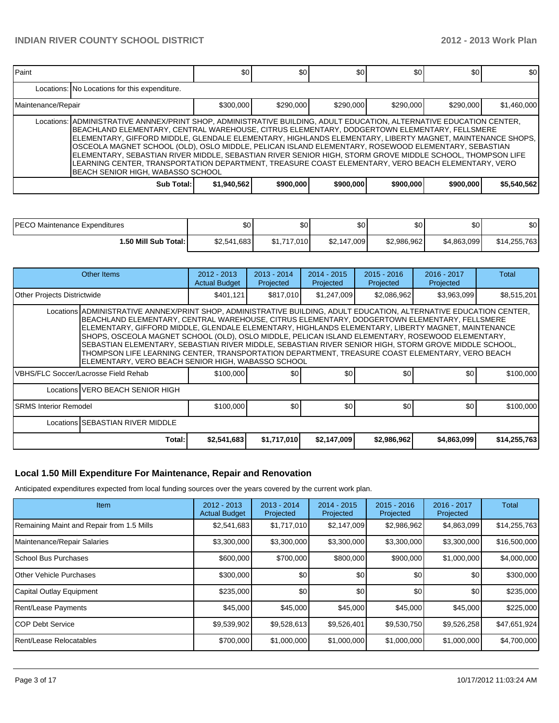| <b>Paint</b>       |                                                                                                                                                                                                                                                                                                                                                                                                                                                                                                                                                                                                                                                                                                      | \$0         | \$0       | \$0       | \$0       | \$0       | \$0         |  |  |
|--------------------|------------------------------------------------------------------------------------------------------------------------------------------------------------------------------------------------------------------------------------------------------------------------------------------------------------------------------------------------------------------------------------------------------------------------------------------------------------------------------------------------------------------------------------------------------------------------------------------------------------------------------------------------------------------------------------------------------|-------------|-----------|-----------|-----------|-----------|-------------|--|--|
|                    | Locations: No Locations for this expenditure.                                                                                                                                                                                                                                                                                                                                                                                                                                                                                                                                                                                                                                                        |             |           |           |           |           |             |  |  |
| Maintenance/Repair |                                                                                                                                                                                                                                                                                                                                                                                                                                                                                                                                                                                                                                                                                                      | \$300,000   | \$290,000 | \$290,000 | \$290,000 | \$290,000 | \$1,460,000 |  |  |
|                    | Locations:   ADMINISTRATIVE ANNNEX/PRINT SHOP, ADMINISTRATIVE BUILDING, ADULT EDUCATION, ALTERNATIVE EDUCATION CENTER,<br>IBEACHLAND ELEMENTARY, CENTRAL WAREHOUSE, CITRUS ELEMENTARY, DODGERTOWN ELEMENTARY, FELLSMERE<br> ELEMENTARY, GIFFORD MIDDLE, GLENDALE ELEMENTARY, HIGHLANDS ELEMENTARY, LIBERTY MAGNET, MAINTENANCE SHOPS,<br>OSCEOLA MAGNET SCHOOL (OLD), OSLO MIDDLE, PELICAN ISLAND ELEMENTARY, ROSEWOOD ELEMENTARY, SEBASTIAN<br>ELEMENTARY, SEBASTIAN RIVER MIDDLE, SEBASTIAN RIVER SENIOR HIGH, STORM GROVE MIDDLE SCHOOL, THOMPSON LIFE<br>LEARNING CENTER, TRANSPORTATION DEPARTMENT, TREASURE COAST ELEMENTARY, VERO BEACH ELEMENTARY, VERO<br>BEACH SENIOR HIGH, WABASSO SCHOOL |             |           |           |           |           |             |  |  |
|                    | Sub Total:                                                                                                                                                                                                                                                                                                                                                                                                                                                                                                                                                                                                                                                                                           | \$1,940,562 | \$900,000 | \$900,000 | \$900,000 | \$900,000 | \$5,540,562 |  |  |

| IPECO Maintenance Expenditures | \$0         | \$0         | \$0         | \$0         | \$0         | \$0          |
|--------------------------------|-------------|-------------|-------------|-------------|-------------|--------------|
| l.50 Mill Sub Total:           | \$2,541,683 | \$1,717,010 | \$2,147,009 | \$2,986,962 | \$4,863,099 | \$14,255,763 |

| Other Items                                                                                                                                                                                                                                                                                                                                                                                                                                                                                                                                                                                                                                                                                     |        | $2012 - 2013$<br><b>Actual Budget</b> | $2013 - 2014$<br>Projected | $2014 - 2015$<br>Projected | $2015 - 2016$<br>Projected | $2016 - 2017$<br>Projected | Total        |  |  |
|-------------------------------------------------------------------------------------------------------------------------------------------------------------------------------------------------------------------------------------------------------------------------------------------------------------------------------------------------------------------------------------------------------------------------------------------------------------------------------------------------------------------------------------------------------------------------------------------------------------------------------------------------------------------------------------------------|--------|---------------------------------------|----------------------------|----------------------------|----------------------------|----------------------------|--------------|--|--|
| <b>Other Projects Districtwide</b>                                                                                                                                                                                                                                                                                                                                                                                                                                                                                                                                                                                                                                                              |        | \$401.121                             | \$817,010                  | \$1,247,009                | \$2,086,962                | \$3,963,099                | \$8,515,201  |  |  |
| Locations ADMINISTRATIVE ANNNEX/PRINT SHOP, ADMINISTRATIVE BUILDING, ADULT EDUCATION, ALTERNATIVE EDUCATION CENTER,<br>BEACHLAND ELEMENTARY, CENTRAL WAREHOUSE, CITRUS ELEMENTARY, DODGERTOWN ELEMENTARY, FELLSMERE<br>ELEMENTARY, GIFFORD MIDDLE, GLENDALE ELEMENTARY, HIGHLANDS ELEMENTARY, LIBERTY MAGNET, MAINTENANCE<br>SHOPS, OSCEOLA MAGNET SCHOOL (OLD), OSLO MIDDLE, PELICAN ISLAND ELEMENTARY, ROSEWOOD ELEMENTARY,<br>SEBASTIAN ELEMENTARY, SEBASTIAN RIVER MIDDLE, SEBASTIAN RIVER SENIOR HIGH, STORM GROVE MIDDLE SCHOOL,<br>THOMPSON LIFE LEARNING CENTER, TRANSPORTATION DEPARTMENT, TREASURE COAST ELEMENTARY, VERO BEACH<br>ELEMENTARY, VERO BEACH SENIOR HIGH, WABASSO SCHOOL |        |                                       |                            |                            |                            |                            |              |  |  |
| VBHS/FLC Soccer/Lacrosse Field Rehab                                                                                                                                                                                                                                                                                                                                                                                                                                                                                                                                                                                                                                                            |        | \$100,000                             | \$0 <sub>1</sub>           | \$0                        | \$0                        | \$0                        | \$100,000    |  |  |
| Locations VERO BEACH SENIOR HIGH                                                                                                                                                                                                                                                                                                                                                                                                                                                                                                                                                                                                                                                                |        |                                       |                            |                            |                            |                            |              |  |  |
| <b>ISRMS Interior Remodel</b>                                                                                                                                                                                                                                                                                                                                                                                                                                                                                                                                                                                                                                                                   |        | \$100,000                             | \$0 <sub>1</sub>           | \$0                        | \$0                        | \$0                        | \$100,000    |  |  |
| Locations SEBASTIAN RIVER MIDDLE                                                                                                                                                                                                                                                                                                                                                                                                                                                                                                                                                                                                                                                                |        |                                       |                            |                            |                            |                            |              |  |  |
|                                                                                                                                                                                                                                                                                                                                                                                                                                                                                                                                                                                                                                                                                                 | Total: | \$2,541,683                           | \$1,717,010                | \$2,147,009                | \$2,986,962                | \$4,863,099                | \$14,255,763 |  |  |

#### **Local 1.50 Mill Expenditure For Maintenance, Repair and Renovation**

Anticipated expenditures expected from local funding sources over the years covered by the current work plan.

| <b>Item</b>                               | $2012 - 2013$<br><b>Actual Budget</b> | $2013 - 2014$<br>Projected | $2014 - 2015$<br>Projected | $2015 - 2016$<br>Projected | 2016 - 2017<br>Projected | Total        |
|-------------------------------------------|---------------------------------------|----------------------------|----------------------------|----------------------------|--------------------------|--------------|
| Remaining Maint and Repair from 1.5 Mills | \$2,541,683                           | \$1,717,010                | \$2,147,009                | \$2,986,962                | \$4,863,099              | \$14,255,763 |
| Maintenance/Repair Salaries               | \$3,300,000                           | \$3,300,000                | \$3,300,000                | \$3,300,000                | \$3,300,000              | \$16,500,000 |
| <b>School Bus Purchases</b>               | \$600,000                             | \$700,000                  | \$800,000                  | \$900,000                  | \$1,000,000              | \$4,000,000  |
| <b>Other Vehicle Purchases</b>            | \$300,000                             | \$0                        | \$0                        | \$0                        | \$0                      | \$300,000    |
| Capital Outlay Equipment                  | \$235,000                             | \$0                        | \$0                        | \$0                        | \$0                      | \$235,000    |
| Rent/Lease Payments                       | \$45,000                              | \$45,000                   | \$45,000                   | \$45,000                   | \$45,000                 | \$225,000    |
| <b>ICOP Debt Service</b>                  | \$9,539,902                           | \$9,528,613                | \$9,526,401                | \$9,530,750                | \$9,526,258              | \$47,651,924 |
| Rent/Lease Relocatables                   | \$700,000                             | \$1,000,000                | \$1,000,000                | \$1,000,000                | \$1,000,000              | \$4,700,000  |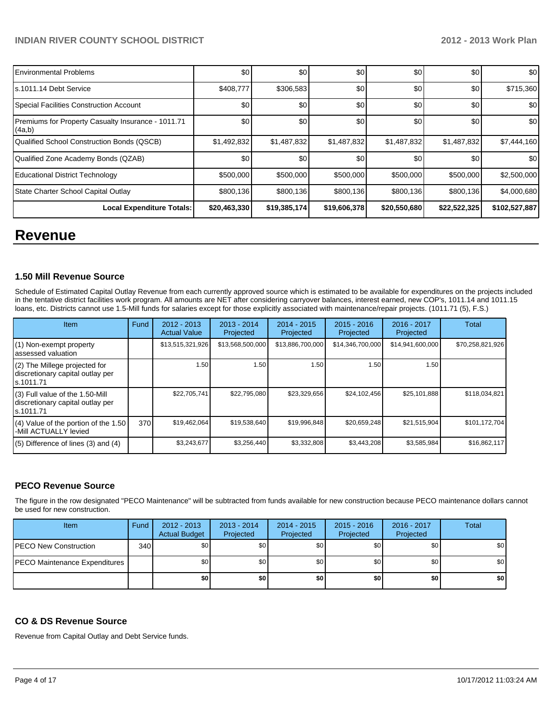| <b>Environmental Problems</b>                                | \$0          | \$0          | \$0          | \$0          | \$0          | \$0           |
|--------------------------------------------------------------|--------------|--------------|--------------|--------------|--------------|---------------|
| s.1011.14 Debt Service                                       | \$408,777    | \$306,583    | <b>\$0</b>   | \$0          | \$0          | \$715,360     |
| Special Facilities Construction Account                      | \$0          | \$0          | \$0          | \$0          | \$0          | \$0           |
| Premiums for Property Casualty Insurance - 1011.71<br>(4a,b) | \$0          | \$0          | \$0          | \$0          | \$0          | \$0           |
| Qualified School Construction Bonds (QSCB)                   | \$1,492,832  | \$1,487,832  | \$1,487,832  | \$1,487,832  | \$1,487,832  | \$7,444,160   |
| Qualified Zone Academy Bonds (QZAB)                          | \$0          | \$0          | \$0          | \$0          | \$0          | \$0           |
| <b>Educational District Technology</b>                       | \$500,000    | \$500,000    | \$500,000    | \$500,000    | \$500,000    | \$2,500,000   |
| State Charter School Capital Outlay                          | \$800,136    | \$800,136    | \$800,136    | \$800,136    | \$800,136    | \$4,000,680   |
| <b>Local Expenditure Totals:</b>                             | \$20,463,330 | \$19,385,174 | \$19,606,378 | \$20,550,680 | \$22,522,325 | \$102,527,887 |

# **Revenue**

#### **1.50 Mill Revenue Source**

Schedule of Estimated Capital Outlay Revenue from each currently approved source which is estimated to be available for expenditures on the projects included in the tentative district facilities work program. All amounts are NET after considering carryover balances, interest earned, new COP's, 1011.14 and 1011.15 loans, etc. Districts cannot use 1.5-Mill funds for salaries except for those explicitly associated with maintenance/repair projects. (1011.71 (5), F.S.)

| Item                                                                              | Fund | $2012 - 2013$<br><b>Actual Value</b> | 2013 - 2014<br>Projected | 2014 - 2015<br>Projected | $2015 - 2016$<br>Projected | $2016 - 2017$<br>Projected | Total            |
|-----------------------------------------------------------------------------------|------|--------------------------------------|--------------------------|--------------------------|----------------------------|----------------------------|------------------|
| (1) Non-exempt property<br>lassessed valuation                                    |      | \$13,515,321,926                     | \$13,568,500,000         | \$13,886,700,000         | \$14,346,700,000           | \$14,941,600,000           | \$70,258,821,926 |
| (2) The Millege projected for<br>discretionary capital outlay per<br>ls.1011.71   |      | 1.50                                 | 1.50                     | 1.50                     | 1.50                       | 1.50                       |                  |
| (3) Full value of the 1.50-Mill<br>discretionary capital outlay per<br>Is.1011.71 |      | \$22,705,741                         | \$22,795,080             | \$23,329,656             | \$24,102,456               | \$25,101,888               | \$118,034,821    |
| $(4)$ Value of the portion of the 1.50<br>-Mill ACTUALLY levied                   | 370  | \$19,462,064                         | \$19,538,640             | \$19,996,848             | \$20,659,248               | \$21,515,904               | \$101,172,704    |
| $(5)$ Difference of lines $(3)$ and $(4)$                                         |      | \$3,243,677                          | \$3,256,440              | \$3,332,808              | \$3,443,208                | \$3,585,984                | \$16,862,117     |

#### **PECO Revenue Source**

The figure in the row designated "PECO Maintenance" will be subtracted from funds available for new construction because PECO maintenance dollars cannot be used for new construction.

| Item                                  | Fund | $2012 - 2013$<br><b>Actual Budget</b> | $2013 - 2014$<br>Projected | 2014 - 2015<br>Projected | $2015 - 2016$<br>Projected | 2016 - 2017<br>Projected | Total |
|---------------------------------------|------|---------------------------------------|----------------------------|--------------------------|----------------------------|--------------------------|-------|
| <b>PECO New Construction</b>          | 340  | \$0                                   | \$0 I                      | \$0                      | \$0                        | \$0                      | \$0   |
| <b>IPECO Maintenance Expenditures</b> |      | ا S0                                  | \$0 I                      | \$0 <sub>1</sub>         | \$0                        | \$0                      | \$0   |
|                                       |      | \$0                                   | \$0 I                      | \$0                      | \$0                        | \$0                      | \$0   |

#### **CO & DS Revenue Source**

Revenue from Capital Outlay and Debt Service funds.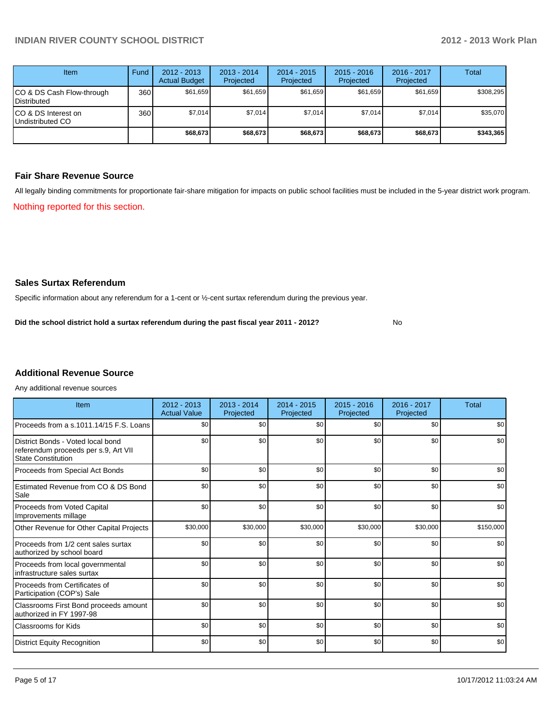| Item                                            | Fund | $2012 - 2013$<br><b>Actual Budget</b> | $2013 - 2014$<br>Projected | $2014 - 2015$<br>Projected | $2015 - 2016$<br>Projected | $2016 - 2017$<br>Projected | Total     |
|-------------------------------------------------|------|---------------------------------------|----------------------------|----------------------------|----------------------------|----------------------------|-----------|
| CO & DS Cash Flow-through<br><b>Distributed</b> | 360  | \$61,659                              | \$61,659                   | \$61,659                   | \$61,659                   | \$61,659                   | \$308,295 |
| CO & DS Interest on<br>Undistributed CO         | 360  | \$7,014                               | \$7,014                    | \$7,014                    | \$7,014                    | \$7,014                    | \$35,070  |
|                                                 |      | \$68,673                              | \$68,673                   | \$68,673                   | \$68,673                   | \$68,673                   | \$343,365 |

#### **Fair Share Revenue Source**

Nothing reported for this section. All legally binding commitments for proportionate fair-share mitigation for impacts on public school facilities must be included in the 5-year district work program.

#### **Sales Surtax Referendum**

Specific information about any referendum for a 1-cent or ½-cent surtax referendum during the previous year.

No **Did the school district hold a surtax referendum during the past fiscal year 2011 - 2012?**

# **Additional Revenue Source**

Any additional revenue sources

| Item                                                                                                   | $2012 - 2013$<br><b>Actual Value</b> | $2013 - 2014$<br>Projected | $2014 - 2015$<br>Projected | $2015 - 2016$<br>Projected | 2016 - 2017<br>Projected | Total     |
|--------------------------------------------------------------------------------------------------------|--------------------------------------|----------------------------|----------------------------|----------------------------|--------------------------|-----------|
| Proceeds from a s.1011.14/15 F.S. Loans                                                                | \$0                                  | \$0                        | \$0                        | \$0                        | \$0                      | \$0       |
| District Bonds - Voted local bond<br>referendum proceeds per s.9, Art VII<br><b>State Constitution</b> | \$0                                  | \$0                        | \$0                        | \$0                        | \$0                      | \$0       |
| Proceeds from Special Act Bonds                                                                        | \$0                                  | \$0                        | \$0                        | \$0                        | \$0                      | \$0       |
| <b>Estimated Revenue from CO &amp; DS Bond</b><br>Sale                                                 | \$0                                  | \$0                        | \$0                        | \$0                        | \$0                      | \$0       |
| <b>Proceeds from Voted Capital</b><br>Improvements millage                                             | \$0                                  | \$0                        | \$0                        | \$0                        | \$0                      | \$0       |
| Other Revenue for Other Capital Projects                                                               | \$30,000                             | \$30,000                   | \$30,000                   | \$30,000                   | \$30,000                 | \$150,000 |
| Proceeds from 1/2 cent sales surtax<br>authorized by school board                                      | \$0                                  | \$0                        | \$0                        | \$0                        | \$0                      | \$0       |
| Proceeds from local governmental<br>infrastructure sales surtax                                        | \$0                                  | \$0                        | \$0                        | \$0                        | \$0                      | \$0       |
| Proceeds from Certificates of<br>Participation (COP's) Sale                                            | \$0                                  | \$0                        | \$0                        | \$0                        | \$0                      | \$0       |
| Classrooms First Bond proceeds amount<br>authorized in FY 1997-98                                      | \$0                                  | \$0                        | \$0                        | \$0                        | \$0                      | \$0       |
| Classrooms for Kids                                                                                    | \$0                                  | \$0                        | \$0                        | \$0                        | \$0                      | \$0       |
| <b>District Equity Recognition</b>                                                                     | \$0                                  | \$0                        | \$0                        | \$0                        | \$0                      | \$0       |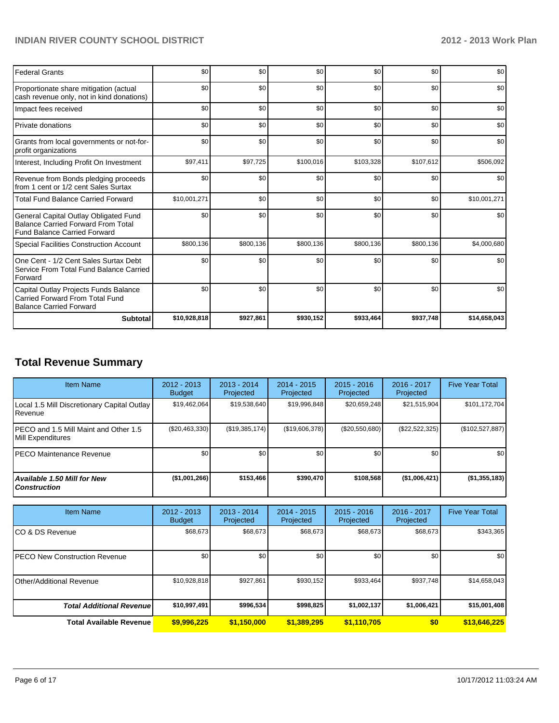| <b>Federal Grants</b>                                                                                                     | \$0          | \$0       | \$0       | \$0       | \$0       | \$0          |
|---------------------------------------------------------------------------------------------------------------------------|--------------|-----------|-----------|-----------|-----------|--------------|
| Proportionate share mitigation (actual<br>cash revenue only, not in kind donations)                                       | \$0          | \$0       | \$0       | \$0       | \$0       | \$0          |
| Impact fees received                                                                                                      | \$0          | \$0       | \$0       | \$0       | \$0       | \$0          |
| Private donations                                                                                                         | \$0          | \$0       | \$0       | \$0       | \$0       | \$0          |
| Grants from local governments or not-for-<br>profit organizations                                                         | \$0          | \$0       | \$0       | \$0       | \$0       | \$0          |
| Interest, Including Profit On Investment                                                                                  | \$97,411     | \$97,725  | \$100,016 | \$103,328 | \$107,612 | \$506,092    |
| Revenue from Bonds pledging proceeds<br>from 1 cent or 1/2 cent Sales Surtax                                              | \$0          | \$0       | \$0       | \$0       | \$0       | \$0          |
| <b>Total Fund Balance Carried Forward</b>                                                                                 | \$10,001,271 | \$0       | \$0       | \$0       | \$0       | \$10,001,271 |
| General Capital Outlay Obligated Fund<br><b>Balance Carried Forward From Total</b><br><b>Fund Balance Carried Forward</b> | \$0          | \$0       | \$0       | \$0       | \$0       | \$0          |
| <b>Special Facilities Construction Account</b>                                                                            | \$800,136    | \$800,136 | \$800,136 | \$800,136 | \$800,136 | \$4,000,680  |
| One Cent - 1/2 Cent Sales Surtax Debt<br>Service From Total Fund Balance Carried<br>Forward                               | \$0          | \$0       | \$0       | \$0       | \$0       | \$0          |
| Capital Outlay Projects Funds Balance<br>Carried Forward From Total Fund<br><b>Balance Carried Forward</b>                | \$0          | \$0       | \$0       | \$0       | \$0       | \$0          |
| <b>Subtotal</b>                                                                                                           | \$10,928,818 | \$927,861 | \$930,152 | \$933,464 | \$937,748 | \$14,658,043 |

# **Total Revenue Summary**

| <b>Item Name</b>                                            | $2012 - 2013$<br><b>Budget</b> | $2013 - 2014$<br>Projected | $2014 - 2015$<br>Projected | $2015 - 2016$<br>Projected | $2016 - 2017$<br>Projected | <b>Five Year Total</b> |
|-------------------------------------------------------------|--------------------------------|----------------------------|----------------------------|----------------------------|----------------------------|------------------------|
| Local 1.5 Mill Discretionary Capital Outlay<br>Revenue      | \$19,462,064                   | \$19,538,640               | \$19,996,848               | \$20,659,248               | \$21,515,904               | \$101,172,704          |
| IPECO and 1.5 Mill Maint and Other 1.5<br>Mill Expenditures | (\$20,463,330)                 | (S19, 385, 174)            | (\$19,606,378)             | (\$20,550,680)             | (\$22,522,325)             | (\$102,527,887)        |
| IPECO Maintenance Revenue                                   | \$0                            | \$0                        | \$0                        | \$0                        | \$0                        | \$0                    |
| <b>Available 1.50 Mill for New</b><br><b>Construction</b>   | (\$1,001,266)                  | \$153,466                  | \$390.470                  | \$108,568                  | (\$1,006,421)              | (\$1,355,183)          |

| <b>Item Name</b>                 | 2012 - 2013<br><b>Budget</b> | $2013 - 2014$<br>Projected | $2014 - 2015$<br>Projected | $2015 - 2016$<br>Projected | 2016 - 2017<br>Projected | <b>Five Year Total</b> |
|----------------------------------|------------------------------|----------------------------|----------------------------|----------------------------|--------------------------|------------------------|
| ICO & DS Revenue                 | \$68,673                     | \$68.673                   | \$68,673                   | \$68,673                   | \$68,673                 | \$343,365              |
| IPECO New Construction Revenue   | \$0                          | \$0                        | \$0                        | \$0                        | \$0                      | \$0 <sub>1</sub>       |
| Other/Additional Revenue         | \$10,928,818                 | \$927,861                  | \$930.152                  | \$933,464                  | \$937.748                | \$14,658,043           |
| <b>Total Additional Revenuel</b> | \$10,997,491                 | \$996,534                  | \$998,825                  | \$1,002,137                | \$1,006,421              | \$15,001,408           |
| <b>Total Available Revenue</b>   | \$9,996,225                  | \$1,150,000                | \$1,389,295                | \$1.110.705                | \$0                      | \$13,646,225           |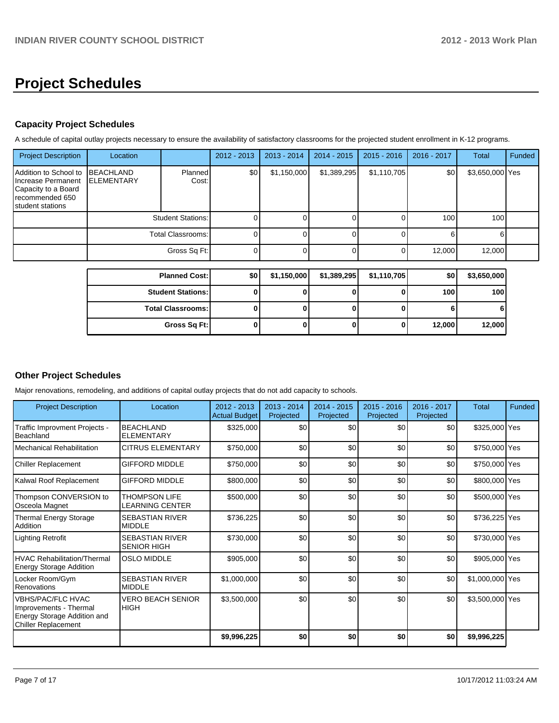# **Project Schedules**

# **Capacity Project Schedules**

A schedule of capital outlay projects necessary to ensure the availability of satisfactory classrooms for the projected student enrollment in K-12 programs.

| <b>Project Description</b>                                                                                           | Location   |                          | 2012 - 2013 | 2013 - 2014 | $2014 - 2015$ | $2015 - 2016$ | 2016 - 2017 | Total           | Funded |
|----------------------------------------------------------------------------------------------------------------------|------------|--------------------------|-------------|-------------|---------------|---------------|-------------|-----------------|--------|
| Addition to School to IBEACHLAND<br>Increase Permanent<br>Capacity to a Board<br>recommended 650<br>student stations | ELEMENTARY | Planned<br>Cost:         | \$0         | \$1,150,000 | \$1,389,295   | \$1,110,705   | \$0         | \$3,650,000 Yes |        |
|                                                                                                                      |            | <b>Student Stations:</b> |             |             |               |               | 100         | 100             |        |
|                                                                                                                      |            | Total Classrooms:        |             |             |               |               | 6           |                 |        |
|                                                                                                                      |            | Gross Sq Ft:             | $\Omega$    |             |               |               | 12,000      | 12,000          |        |
|                                                                                                                      |            |                          |             |             |               |               |             |                 |        |
|                                                                                                                      |            | <b>Planned Cost:</b>     | \$0         | \$1,150,000 | \$1,389,295   | \$1,110,705   | \$0         | \$3,650,000     |        |
|                                                                                                                      |            | <b>Student Stations:</b> | 0           |             |               |               | 100         | 100             |        |
|                                                                                                                      |            | <b>Total Classrooms:</b> | 0           | 0           | 0             |               | 6           | 61              |        |

**Gross Sq Ft: 0 0 0 0 12,000 12,000**

# **Other Project Schedules**

Major renovations, remodeling, and additions of capital outlay projects that do not add capacity to schools.

| <b>Project Description</b>                                                                                      | Location                                     | $2012 - 2013$<br><b>Actual Budget</b> | $2013 - 2014$<br>Projected | $2014 - 2015$<br>Projected | $2015 - 2016$<br>Projected | 2016 - 2017<br>Projected | <b>Total</b>    | Funded |
|-----------------------------------------------------------------------------------------------------------------|----------------------------------------------|---------------------------------------|----------------------------|----------------------------|----------------------------|--------------------------|-----------------|--------|
| <b>Traffic Improvment Projects -</b><br>Beachland                                                               | <b>BEACHLAND</b><br><b>ELEMENTARY</b>        | \$325,000                             | \$0                        | \$0                        | \$0                        | \$0                      | \$325,000 Yes   |        |
| Mechanical Rehabilitation                                                                                       | <b>CITRUS ELEMENTARY</b>                     | \$750,000                             | \$0                        | \$0                        | \$0                        | \$0                      | \$750,000 Yes   |        |
| <b>Chiller Replacement</b>                                                                                      | <b>GIFFORD MIDDLE</b>                        | \$750,000                             | \$0                        | \$0                        | \$0                        | \$0                      | \$750,000 Yes   |        |
| Kalwal Roof Replacement                                                                                         | <b>GIFFORD MIDDLE</b>                        | \$800,000                             | \$0                        | \$0                        | \$0                        | \$0                      | \$800,000 Yes   |        |
| Thompson CONVERSION to<br>Osceola Magnet                                                                        | <b>THOMPSON LIFE</b><br>LEARNING CENTER      | \$500,000                             | \$0                        | \$0                        | \$0                        | \$0                      | \$500,000 Yes   |        |
| <b>Thermal Energy Storage</b><br>Addition                                                                       | <b>SEBASTIAN RIVER</b><br><b>MIDDLE</b>      | \$736,225                             | \$0                        | \$0                        | \$0                        | \$0                      | \$736,225 Yes   |        |
| Lighting Retrofit                                                                                               | <b>SEBASTIAN RIVER</b><br><b>SENIOR HIGH</b> | \$730,000                             | \$0                        | \$0                        | \$0                        | \$0                      | \$730,000 Yes   |        |
| <b>HVAC Rehabilitation/Thermal</b><br><b>Energy Storage Addition</b>                                            | <b>OSLO MIDDLE</b>                           | \$905,000                             | \$0                        | \$0                        | \$0                        | \$0                      | \$905,000 Yes   |        |
| Locker Room/Gym<br>Renovations                                                                                  | <b>SEBASTIAN RIVER</b><br><b>MIDDLE</b>      | \$1,000,000                           | \$0                        | \$0                        | \$0                        | \$0                      | \$1,000,000 Yes |        |
| <b>VBHS/PAC/FLC HVAC</b><br>Improvements - Thermal<br>Energy Storage Addition and<br><b>Chiller Replacement</b> | <b>VERO BEACH SENIOR</b><br><b>HIGH</b>      | \$3,500,000                           | \$0                        | \$0                        | \$0                        | \$0                      | \$3,500,000 Yes |        |
|                                                                                                                 |                                              | \$9,996,225                           | \$0                        | \$0                        | \$0                        | \$0                      | \$9,996,225     |        |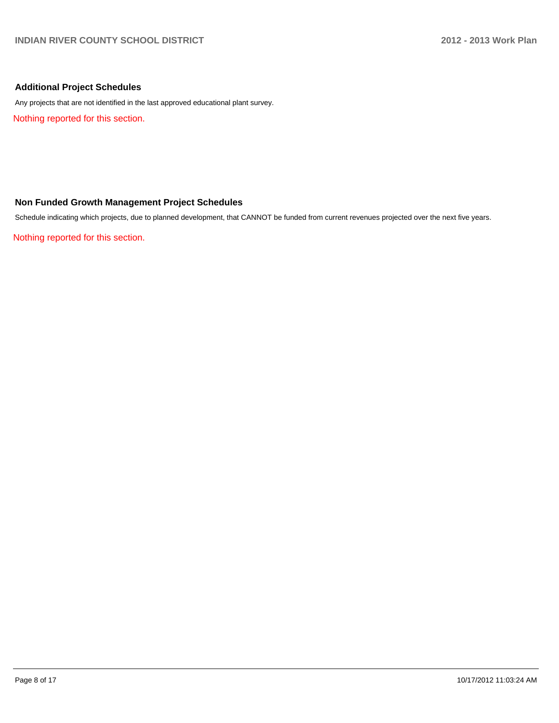## **Additional Project Schedules**

Any projects that are not identified in the last approved educational plant survey.

Nothing reported for this section.

## **Non Funded Growth Management Project Schedules**

Schedule indicating which projects, due to planned development, that CANNOT be funded from current revenues projected over the next five years.

Nothing reported for this section.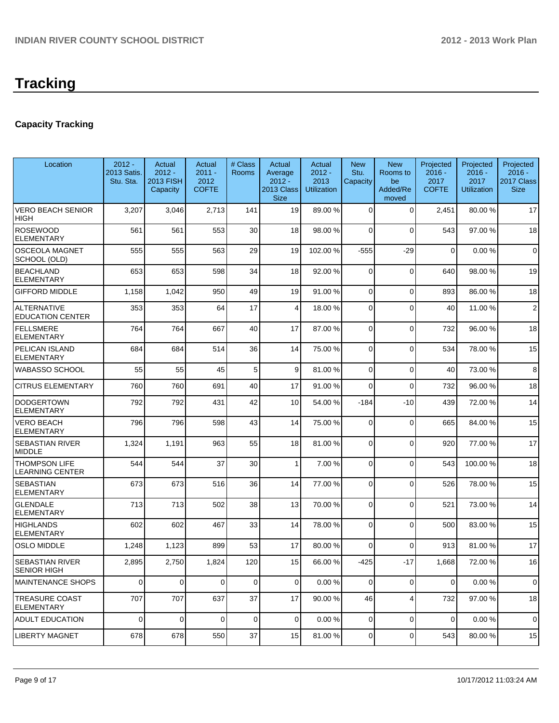# **Tracking**

# **Capacity Tracking**

| Location                                       | $2012 -$<br>2013 Satis.<br>Stu. Sta. | Actual<br>$2012 -$<br><b>2013 FISH</b><br>Capacity | Actual<br>$2011 -$<br>2012<br><b>COFTE</b> | # Class<br>Rooms | Actual<br>Average<br>$2012 -$<br>2013 Class<br><b>Size</b> | Actual<br>$2012 -$<br>2013<br><b>Utilization</b> | <b>New</b><br>Stu.<br>Capacity | <b>New</b><br>Rooms to<br>be<br>Added/Re<br>moved | Projected<br>$2016 -$<br>2017<br><b>COFTE</b> | Projected<br>$2016 -$<br>2017<br><b>Utilization</b> | Projected<br>$2016 -$<br>2017 Class<br><b>Size</b> |
|------------------------------------------------|--------------------------------------|----------------------------------------------------|--------------------------------------------|------------------|------------------------------------------------------------|--------------------------------------------------|--------------------------------|---------------------------------------------------|-----------------------------------------------|-----------------------------------------------------|----------------------------------------------------|
| <b>VERO BEACH SENIOR</b><br><b>HIGH</b>        | 3,207                                | 3,046                                              | 2,713                                      | 141              | 19                                                         | 89.00 %                                          | 0                              | $\Omega$                                          | 2,451                                         | 80.00%                                              | 17                                                 |
| <b>ROSEWOOD</b><br><b>ELEMENTARY</b>           | 561                                  | 561                                                | 553                                        | 30               | 18                                                         | 98.00 %                                          | 0                              | $\Omega$                                          | 543                                           | 97.00 %                                             | 18                                                 |
| <b>OSCEOLA MAGNET</b><br>SCHOOL (OLD)          | 555                                  | 555                                                | 563                                        | 29               | 19                                                         | 102.00 %                                         | $-555$                         | $-29$                                             | $\mathbf 0$                                   | 0.00%                                               | $\mathbf 0$                                        |
| <b>BEACHLAND</b><br><b>ELEMENTARY</b>          | 653                                  | 653                                                | 598                                        | 34               | 18                                                         | 92.00 %                                          | 0                              | $\Omega$                                          | 640                                           | 98.00 %                                             | 19                                                 |
| <b>GIFFORD MIDDLE</b>                          | 1,158                                | 1,042                                              | 950                                        | 49               | 19                                                         | 91.00 %                                          | 0                              | $\Omega$                                          | 893                                           | 86.00 %                                             | 18                                                 |
| <b>ALTERNATIVE</b><br><b>EDUCATION CENTER</b>  | 353                                  | 353                                                | 64                                         | 17               | 4                                                          | 18.00 %                                          | 0                              | $\Omega$                                          | 40                                            | 11.00 %                                             | $\overline{2}$                                     |
| <b>FELLSMERE</b><br><b>ELEMENTARY</b>          | 764                                  | 764                                                | 667                                        | 40               | 17                                                         | 87.00 %                                          | $\overline{0}$                 | $\Omega$                                          | 732                                           | 96.00%                                              | 18                                                 |
| <b>PELICAN ISLAND</b><br><b>ELEMENTARY</b>     | 684                                  | 684                                                | 514                                        | 36               | 14                                                         | 75.00 %                                          | 0                              | $\Omega$                                          | 534                                           | 78.00 %                                             | 15                                                 |
| <b>WABASSO SCHOOL</b>                          | 55                                   | 55                                                 | 45                                         | 5                | 9                                                          | 81.00 %                                          | $\overline{0}$                 | $\Omega$                                          | 40                                            | 73.00 %                                             | 8                                                  |
| <b>CITRUS ELEMENTARY</b>                       | 760                                  | 760                                                | 691                                        | 40               | 17                                                         | 91.00 %                                          | $\Omega$                       | $\Omega$                                          | 732                                           | 96.00%                                              | 18                                                 |
| <b>DODGERTOWN</b><br><b>ELEMENTARY</b>         | 792                                  | 792                                                | 431                                        | 42               | 10                                                         | 54.00 %                                          | $-184$                         | $-10$                                             | 439                                           | 72.00 %                                             | 14                                                 |
| <b>VERO BEACH</b><br><b>ELEMENTARY</b>         | 796                                  | 796                                                | 598                                        | 43               | 14                                                         | 75.00 %                                          | 0                              | $\Omega$                                          | 665                                           | 84.00%                                              | 15                                                 |
| <b>SEBASTIAN RIVER</b><br><b>MIDDLE</b>        | 1,324                                | 1,191                                              | 963                                        | 55               | 18                                                         | 81.00 %                                          | 0                              | $\Omega$                                          | 920                                           | 77.00 %                                             | 17                                                 |
| <b>THOMPSON LIFE</b><br><b>LEARNING CENTER</b> | 544                                  | 544                                                | 37                                         | 30               | 1                                                          | 7.00 %                                           | 0                              | $\Omega$                                          | 543                                           | 100.00%                                             | 18                                                 |
| <b>SEBASTIAN</b><br><b>ELEMENTARY</b>          | 673                                  | 673                                                | 516                                        | 36               | 14                                                         | 77.00 %                                          | $\Omega$                       | $\Omega$                                          | 526                                           | 78.00 %                                             | 15                                                 |
| <b>GLENDALE</b><br><b>ELEMENTARY</b>           | 713                                  | 713                                                | 502                                        | 38               | 13                                                         | 70.00 %                                          | $\overline{0}$                 | $\Omega$                                          | 521                                           | 73.00 %                                             | 14                                                 |
| <b>HIGHLANDS</b><br><b>ELEMENTARY</b>          | 602                                  | 602                                                | 467                                        | 33               | 14                                                         | 78.00 %                                          | 0                              | $\Omega$                                          | 500                                           | 83.00 %                                             | 15                                                 |
| <b>OSLO MIDDLE</b>                             | 1,248                                | 1,123                                              | 899                                        | 53               | 17                                                         | 80.00 %                                          | 0                              | $\Omega$                                          | 913                                           | 81.00%                                              | 17                                                 |
| <b>SEBASTIAN RIVER</b><br><b>SENIOR HIGH</b>   | 2.895                                | 2,750                                              | 1,824                                      | 120              | 15                                                         | 66.00 %                                          | $-425$                         | $-17$                                             | 1.668                                         | 72.00%                                              | 16                                                 |
| <b>MAINTENANCE SHOPS</b>                       | $\mathbf 0$                          | $\mathbf 0$                                        | $\overline{0}$                             | $\mathbf 0$      | $\overline{0}$                                             | 0.00%                                            | $\overline{0}$                 | $\overline{0}$                                    | $\overline{0}$                                | 0.00%                                               | 0                                                  |
| <b>TREASURE COAST</b><br><b>ELEMENTARY</b>     | 707                                  | 707                                                | 637                                        | 37               | 17                                                         | 90.00 %                                          | 46                             | 4                                                 | 732                                           | 97.00 %                                             | 18                                                 |
| <b>ADULT EDUCATION</b>                         | $\mathbf 0$                          | $\mathbf 0$                                        | $\overline{0}$                             | $\mathbf 0$      | $\overline{0}$                                             | 0.00%                                            | 0                              | $\overline{0}$                                    | 0                                             | 0.00%                                               | 0                                                  |
| <b>LIBERTY MAGNET</b>                          | 678                                  | 678                                                | 550                                        | 37               | 15                                                         | 81.00 %                                          | $\overline{0}$                 | $\overline{0}$                                    | 543                                           | 80.00%                                              | 15                                                 |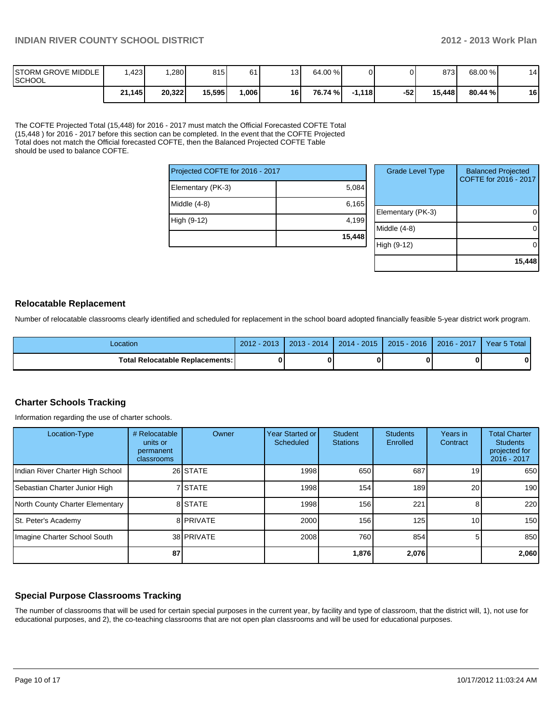| <b>ISTORM GROVE MIDDLE</b><br><b>ISCHOOL</b> | .423   | .280   | 815    | 61    | 13 | 64.00 %  |          |       | 8731   | 68.00 % | 14 |
|----------------------------------------------|--------|--------|--------|-------|----|----------|----------|-------|--------|---------|----|
|                                              | 21,145 | 20,322 | 15,595 | .0061 | 16 | 76.74 %I | $-1,118$ | $-52$ | 15.448 | 80.44 % | 16 |

The COFTE Projected Total (15,448) for 2016 - 2017 must match the Official Forecasted COFTE Total (15,448 ) for 2016 - 2017 before this section can be completed. In the event that the COFTE Projected Total does not match the Official forecasted COFTE, then the Balanced Projected COFTE Table should be used to balance COFTE.

| Projected COFTE for 2016 - 2017 |        | Grad   |
|---------------------------------|--------|--------|
| Elementary (PK-3)               | 5,084  |        |
| Middle $(4-8)$                  | 6,165  | Elemen |
| High (9-12)                     | 4,199  | Middle |
|                                 | 15,448 |        |
|                                 |        | 19.    |

| <b>Grade Level Type</b> | <b>Balanced Projected</b><br>COFTE for 2016 - 2017 |
|-------------------------|----------------------------------------------------|
| Elementary (PK-3)       |                                                    |
| Middle $(4-8)$          |                                                    |
| High (9-12)             |                                                    |
|                         | 15,448                                             |

#### **Relocatable Replacement**

Number of relocatable classrooms clearly identified and scheduled for replacement in the school board adopted financially feasible 5-year district work program.

| _ocation                          | $-201$<br>2012 | $2013 - 2014$ | $\sqrt{2015}$<br>$2014 -$ | $2015 - 2016$ | $2016 - 2017$ | Year 5 Total |
|-----------------------------------|----------------|---------------|---------------------------|---------------|---------------|--------------|
| Total Relocatable Replacements: I |                |               |                           |               |               | 0            |

## **Charter Schools Tracking**

Information regarding the use of charter schools.

| Location-Type                    | # Relocatable<br>units or<br>permanent<br>classrooms | Owner      | Year Started or<br>Scheduled | <b>Student</b><br><b>Stations</b> | <b>Students</b><br>Enrolled | Years in<br>Contract | <b>Total Charter</b><br><b>Students</b><br>projected for<br>2016 - 2017 |
|----------------------------------|------------------------------------------------------|------------|------------------------------|-----------------------------------|-----------------------------|----------------------|-------------------------------------------------------------------------|
| Indian River Charter High School |                                                      | 26 STATE   | 1998                         | 650                               | 687                         | 19                   | 650                                                                     |
| Sebastian Charter Junior High    |                                                      | 7 STATE    | 1998                         | 154                               | 189                         | 20                   | 190                                                                     |
| North County Charter Elementary  |                                                      | 8 STATE    | 1998                         | 156                               | 221                         |                      | 220                                                                     |
| St. Peter's Academy              |                                                      | 8 PRIVATE  | 2000                         | 156                               | 125                         | 10                   | 150                                                                     |
| Imagine Charter School South     |                                                      | 38 PRIVATE | 2008                         | 760                               | 854                         |                      | 850                                                                     |
|                                  | 87                                                   |            |                              | 1,876                             | 2,076                       |                      | 2,060                                                                   |

## **Special Purpose Classrooms Tracking**

The number of classrooms that will be used for certain special purposes in the current year, by facility and type of classroom, that the district will, 1), not use for educational purposes, and 2), the co-teaching classrooms that are not open plan classrooms and will be used for educational purposes.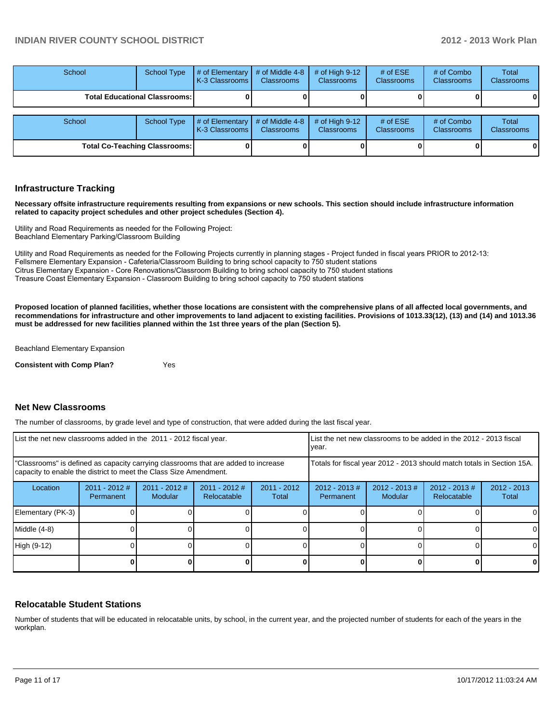| School                               | <b>School Type</b>                     | # of Elementary<br><b>K-3 Classrooms I</b> | # of Middle 4-8<br><b>Classrooms</b> | # of High $9-12$<br><b>Classrooms</b> | # of $ESE$<br><b>Classrooms</b> | # of Combo<br><b>Classrooms</b> | Total<br><b>Classrooms</b> |
|--------------------------------------|----------------------------------------|--------------------------------------------|--------------------------------------|---------------------------------------|---------------------------------|---------------------------------|----------------------------|
|                                      | <b>Total Educational Classrooms: I</b> |                                            |                                      |                                       |                                 |                                 | 0                          |
| School<br><b>School Type</b>         |                                        | # of Elementary<br><b>K-3 Classrooms I</b> | # of Middle 4-8<br><b>Classrooms</b> | $#$ of High 9-12<br><b>Classrooms</b> | # of $ESE$<br><b>Classrooms</b> | # of Combo<br><b>Classrooms</b> | Total<br><b>Classrooms</b> |
| <b>Total Co-Teaching Classrooms:</b> |                                        |                                            |                                      |                                       |                                 | 0                               |                            |

#### **Infrastructure Tracking**

**Necessary offsite infrastructure requirements resulting from expansions or new schools. This section should include infrastructure information related to capacity project schedules and other project schedules (Section 4).**

Utility and Road Requirements as needed for the Following Project: Beachland Elementary Parking/Classroom Building

Utility and Road Requirements as needed for the Following Projects currently in planning stages - Project funded in fiscal years PRIOR to 2012-13: Fellsmere Elementary Expansion - Cafeteria/Classroom Building to bring school capacity to 750 student stations Citrus Elementary Expansion - Core Renovations/Classroom Building to bring school capacity to 750 student stations Treasure Coast Elementary Expansion - Classroom Building to bring school capacity to 750 student stations

**Proposed location of planned facilities, whether those locations are consistent with the comprehensive plans of all affected local governments, and recommendations for infrastructure and other improvements to land adjacent to existing facilities. Provisions of 1013.33(12), (13) and (14) and 1013.36 must be addressed for new facilities planned within the 1st three years of the plan (Section 5).**

Beachland Elementary Expansion

**Consistent with Comp Plan?** Yes

#### **Net New Classrooms**

The number of classrooms, by grade level and type of construction, that were added during the last fiscal year.

| List the net new classrooms added in the 2011 - 2012 fiscal year.                                                                                       |                              |                            |                                |                        | List the net new classrooms to be added in the 2012 - 2013 fiscal<br>Ivear. |                             |                                 |                        |
|---------------------------------------------------------------------------------------------------------------------------------------------------------|------------------------------|----------------------------|--------------------------------|------------------------|-----------------------------------------------------------------------------|-----------------------------|---------------------------------|------------------------|
| "Classrooms" is defined as capacity carrying classrooms that are added to increase<br>capacity to enable the district to meet the Class Size Amendment. |                              |                            |                                |                        | Totals for fiscal year 2012 - 2013 should match totals in Section 15A.      |                             |                                 |                        |
| Location                                                                                                                                                | $2011 - 2012$ #<br>Permanent | $2011 - 2012$ #<br>Modular | $2011 - 2012$ #<br>Relocatable | $2011 - 2012$<br>Total | $2012 - 2013 \#$<br>Permanent                                               | $2012 - 2013 \#$<br>Modular | $2012 - 2013 \#$<br>Relocatable | $2012 - 2013$<br>Total |
| Elementary (PK-3)                                                                                                                                       |                              |                            |                                |                        |                                                                             |                             |                                 | $\Omega$               |
| Middle (4-8)                                                                                                                                            |                              |                            |                                |                        |                                                                             |                             |                                 | $\Omega$               |
| High (9-12)                                                                                                                                             |                              |                            |                                |                        |                                                                             |                             |                                 | $\Omega$               |
|                                                                                                                                                         |                              |                            |                                |                        |                                                                             |                             |                                 | $\mathbf{0}$           |

#### **Relocatable Student Stations**

Number of students that will be educated in relocatable units, by school, in the current year, and the projected number of students for each of the years in the workplan.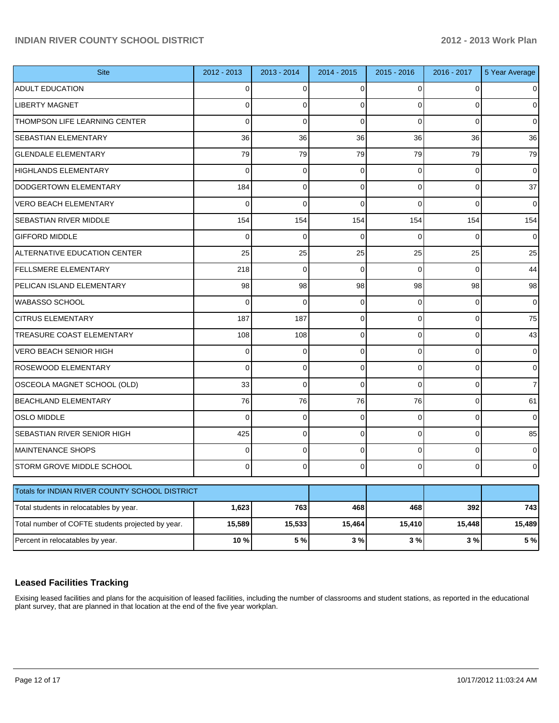| <b>Site</b>                                       | 2012 - 2013 | 2013 - 2014 | 2014 - 2015 | 2015 - 2016 | 2016 - 2017    | 5 Year Average |
|---------------------------------------------------|-------------|-------------|-------------|-------------|----------------|----------------|
| <b>ADULT EDUCATION</b>                            | 0           | 0           | 0           | $\Omega$    | 0              |                |
| <b>LIBERTY MAGNET</b>                             | 0           | $\Omega$    | 0           | $\Omega$    | $\Omega$       | 0              |
| THOMPSON LIFE LEARNING CENTER                     | $\Omega$    | $\Omega$    | $\Omega$    | $\Omega$    | $\Omega$       | 0              |
| <b>SEBASTIAN ELEMENTARY</b>                       | 36          | 36          | 36          | 36          | 36             | 36             |
| <b>GLENDALE ELEMENTARY</b>                        | 79          | 79          | 79          | 79          | 79             | 79             |
| <b>HIGHLANDS ELEMENTARY</b>                       | $\Omega$    | $\Omega$    | 0           | $\Omega$    | $\Omega$       | 0              |
| DODGERTOWN ELEMENTARY                             | 184         | $\Omega$    | $\Omega$    | $\Omega$    | 0              | 37             |
| <b>VERO BEACH ELEMENTARY</b>                      | $\Omega$    | $\Omega$    | $\Omega$    | $\Omega$    | $\Omega$       | 0              |
| <b>SEBASTIAN RIVER MIDDLE</b>                     | 154         | 154         | 154         | 154         | 154            | 154            |
| <b>GIFFORD MIDDLE</b>                             | 0           | $\Omega$    | 0           | $\Omega$    | $\Omega$       | 0              |
| ALTERNATIVE EDUCATION CENTER                      | 25          | 25          | 25          | 25          | 25             | 25             |
| <b>FELLSMERE ELEMENTARY</b>                       | 218         | $\Omega$    | $\Omega$    | $\Omega$    | $\Omega$       | 44             |
| PELICAN ISLAND ELEMENTARY                         | 98          | 98          | 98          | 98          | 98             | 98             |
| IWABASSO SCHOOL                                   | $\Omega$    | $\Omega$    | 0           | $\Omega$    | $\Omega$       | 0              |
| <b>CITRUS ELEMENTARY</b>                          | 187         | 187         | $\Omega$    | $\Omega$    | $\overline{0}$ | 75             |
| <b>TREASURE COAST ELEMENTARY</b>                  | 108         | 108         | $\Omega$    | $\Omega$    | $\Omega$       | 43             |
| <b>VERO BEACH SENIOR HIGH</b>                     | 0           | $\Omega$    | $\Omega$    | $\Omega$    | $\Omega$       | 0              |
| <b>ROSEWOOD ELEMENTARY</b>                        | 0           | $\Omega$    | $\Omega$    | $\Omega$    | $\Omega$       | 0              |
| OSCEOLA MAGNET SCHOOL (OLD)                       | 33          | $\Omega$    | $\Omega$    | $\Omega$    | 0              | 7              |
| <b>BEACHLAND ELEMENTARY</b>                       | 76          | 76          | 76          | 76          | $\Omega$       | 61             |
| <b>OSLO MIDDLE</b>                                | 0           | $\Omega$    | $\Omega$    | $\Omega$    | $\Omega$       | 0              |
| <b>SEBASTIAN RIVER SENIOR HIGH</b>                | 425         | $\Omega$    | $\Omega$    | $\Omega$    | $\Omega$       | 85             |
| <b>MAINTENANCE SHOPS</b>                          | 0           | $\Omega$    | 0           | $\Omega$    | $\Omega$       | 0              |
| STORM GROVE MIDDLE SCHOOL                         | 0           | $\Omega$    | 0           | $\Omega$    | $\Omega$       | 0              |
| Totals for INDIAN RIVER COUNTY SCHOOL DISTRICT    |             |             |             |             |                |                |
| Total students in relocatables by year.           | 1,623       | 763         | 468         | 468         | 392            | 743            |
| Total number of COFTE students projected by year. | 15,589      | 15,533      | 15,464      | 15,410      | 15,448         | 15,489         |
| Percent in relocatables by year.                  | 10 %        | 5 %         | 3%          | 3 %         | 3%             | 5 %            |

## **Leased Facilities Tracking**

Exising leased facilities and plans for the acquisition of leased facilities, including the number of classrooms and student stations, as reported in the educational plant survey, that are planned in that location at the end of the five year workplan.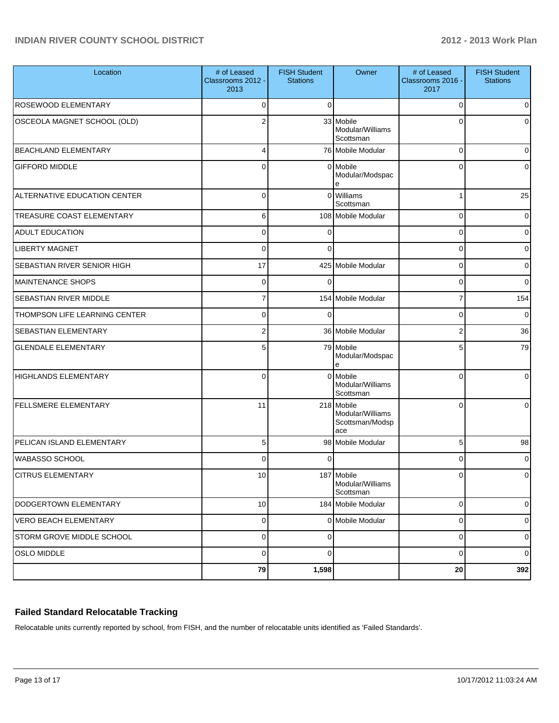| Location                            | # of Leased<br>Classrooms 2012 -<br>2013 | <b>FISH Student</b><br><b>Stations</b> | Owner                                                    | # of Leased<br>Classrooms 2016 -<br>2017 | <b>FISH Student</b><br><b>Stations</b> |
|-------------------------------------|------------------------------------------|----------------------------------------|----------------------------------------------------------|------------------------------------------|----------------------------------------|
| ROSEWOOD ELEMENTARY                 | $\Omega$                                 | $\Omega$                               |                                                          | 0                                        | $\overline{0}$                         |
| OSCEOLA MAGNET SCHOOL (OLD)         | 2                                        |                                        | 33 Mobile<br>Modular/Williams<br>Scottsman               | 0                                        | 0                                      |
| <b>BEACHLAND ELEMENTARY</b>         | 4                                        |                                        | 76 Mobile Modular                                        | 0                                        | 0                                      |
| <b>GIFFORD MIDDLE</b>               | 0                                        |                                        | 0 Mobile<br>Modular/Modspac                              | $\Omega$                                 | 0                                      |
| <b>ALTERNATIVE EDUCATION CENTER</b> | $\Omega$                                 | $\Omega$                               | <b>Williams</b><br>Scottsman                             | 1                                        | 25                                     |
| <b>TREASURE COAST ELEMENTARY</b>    | 6                                        |                                        | 108 Mobile Modular                                       | 0                                        | $\overline{0}$                         |
| <b>ADULT EDUCATION</b>              | $\Omega$                                 | 0                                      |                                                          | 0                                        | $\overline{0}$                         |
| <b>LIBERTY MAGNET</b>               | $\Omega$                                 | $\Omega$                               |                                                          | 0                                        | 0                                      |
| SEBASTIAN RIVER SENIOR HIGH         | 17                                       |                                        | 425 Mobile Modular                                       | 0                                        | 0                                      |
| MAINTENANCE SHOPS                   | $\mathbf 0$                              | $\Omega$                               |                                                          | 0                                        | $\overline{0}$                         |
| <b>SEBASTIAN RIVER MIDDLE</b>       | 7                                        |                                        | 154 Mobile Modular                                       | 7                                        | 154                                    |
| THOMPSON LIFE LEARNING CENTER       | $\Omega$                                 | 0                                      |                                                          | 0                                        | $\overline{0}$                         |
| <b>SEBASTIAN ELEMENTARY</b>         | $\overline{2}$                           |                                        | 36 Mobile Modular                                        | $\overline{2}$                           | 36                                     |
| <b>GLENDALE ELEMENTARY</b>          | 5                                        |                                        | 79 Mobile<br>Modular/Modspac<br>e                        | 5                                        | 79                                     |
| HIGHLANDS ELEMENTARY                | $\Omega$                                 | $\Omega$                               | <b>I</b> Mobile<br>Modular/Williams<br>Scottsman         | $\Omega$                                 | $\Omega$                               |
| <b>FELLSMERE ELEMENTARY</b>         | 11                                       |                                        | 218 Mobile<br>Modular/Williams<br>Scottsman/Modsp<br>ace | $\Omega$                                 | 0                                      |
| PELICAN ISLAND ELEMENTARY           | 5                                        |                                        | 98 Mobile Modular                                        | 5                                        | 98                                     |
| <b>WABASSO SCHOOL</b>               | $\Omega$                                 |                                        |                                                          | 0                                        | 0                                      |
| <b>CITRUS ELEMENTARY</b>            | 10                                       |                                        | 187 Mobile<br>Modular/Williams<br>Scottsman              |                                          | $\cap$                                 |
| DODGERTOWN ELEMENTARY               | 10 <sup>1</sup>                          |                                        | 184 Mobile Modular                                       | $\mathbf 0$                              | $\overline{0}$                         |
| <b>VERO BEACH ELEMENTARY</b>        | $\overline{0}$                           |                                        | 0 Mobile Modular                                         | $\mathbf 0$                              | $\overline{0}$                         |
| STORM GROVE MIDDLE SCHOOL           | $\overline{0}$                           | 0                                      |                                                          | $\mathbf 0$                              | $\overline{0}$                         |
| <b>OSLO MIDDLE</b>                  | $\pmb{0}$                                | 0                                      |                                                          | $\mathbf 0$                              | $\overline{0}$                         |
|                                     | 79                                       | 1,598                                  |                                                          | 20                                       | 392                                    |

## **Failed Standard Relocatable Tracking**

Relocatable units currently reported by school, from FISH, and the number of relocatable units identified as 'Failed Standards'.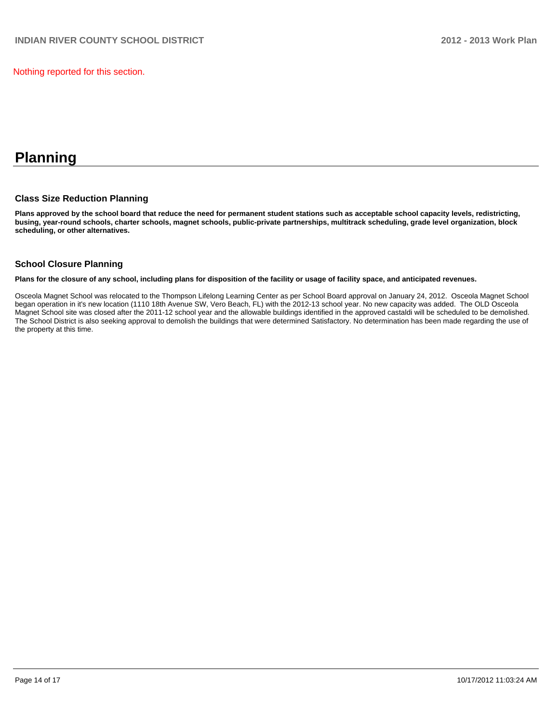Nothing reported for this section.

# **Planning**

#### **Class Size Reduction Planning**

**Plans approved by the school board that reduce the need for permanent student stations such as acceptable school capacity levels, redistricting, busing, year-round schools, charter schools, magnet schools, public-private partnerships, multitrack scheduling, grade level organization, block scheduling, or other alternatives.**

#### **School Closure Planning**

**Plans for the closure of any school, including plans for disposition of the facility or usage of facility space, and anticipated revenues.**

Osceola Magnet School was relocated to the Thompson Lifelong Learning Center as per School Board approval on January 24, 2012. Osceola Magnet School began operation in it's new location (1110 18th Avenue SW, Vero Beach, FL) with the 2012-13 school year. No new capacity was added. The OLD Osceola Magnet School site was closed after the 2011-12 school year and the allowable buildings identified in the approved castaldi will be scheduled to be demolished. The School District is also seeking approval to demolish the buildings that were determined Satisfactory. No determination has been made regarding the use of the property at this time.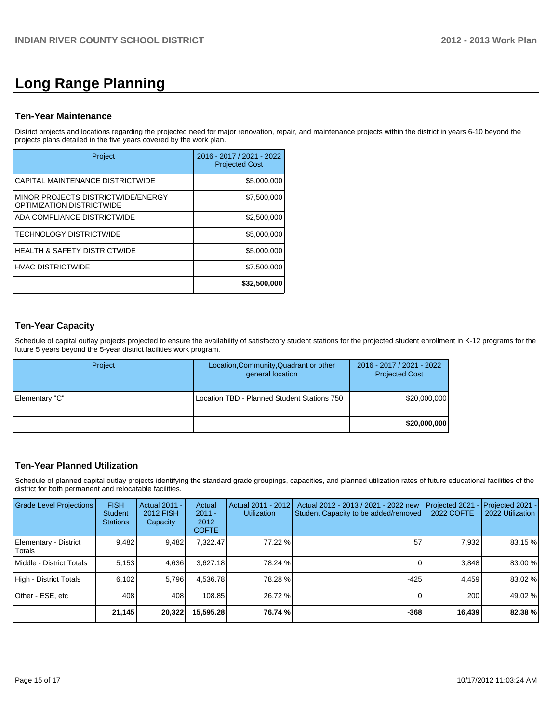# **Long Range Planning**

# **Ten-Year Maintenance**

District projects and locations regarding the projected need for major renovation, repair, and maintenance projects within the district in years 6-10 beyond the projects plans detailed in the five years covered by the work plan.

| Project                                                           | 2016 - 2017 / 2021 - 2022<br><b>Projected Cost</b> |
|-------------------------------------------------------------------|----------------------------------------------------|
| ICAPITAL MAINTENANCE DISTRICTWIDE                                 | \$5,000,000                                        |
| IMINOR PROJECTS DISTRICTWIDE/ENERGY<br>IOPTIMIZATION DISTRICTWIDE | \$7,500,000                                        |
| IADA COMPLIANCE DISTRICTWIDE                                      | \$2,500,000                                        |
| ITECHNOLOGY DISTRICTWIDE                                          | \$5,000,000                                        |
| IHEALTH & SAFETY DISTRICTWIDE                                     | \$5,000,000                                        |
| <b>IHVAC DISTRICTWIDE</b>                                         | \$7,500,000                                        |
|                                                                   | \$32,500,000                                       |

# **Ten-Year Capacity**

Schedule of capital outlay projects projected to ensure the availability of satisfactory student stations for the projected student enrollment in K-12 programs for the future 5 years beyond the 5-year district facilities work program.

| Project        | Location, Community, Quadrant or other<br>general location | 2016 - 2017 / 2021 - 2022<br><b>Projected Cost</b> |
|----------------|------------------------------------------------------------|----------------------------------------------------|
| Elementary "C" | Location TBD - Planned Student Stations 750                | \$20,000,000                                       |
|                |                                                            | \$20,000,000                                       |

# **Ten-Year Planned Utilization**

Schedule of planned capital outlay projects identifying the standard grade groupings, capacities, and planned utilization rates of future educational facilities of the district for both permanent and relocatable facilities.

| <b>Grade Level Projections</b>   | <b>FISH</b><br><b>Student</b><br><b>Stations</b> | Actual 2011 -<br>2012 FISH<br>Capacity | Actual<br>$2011 -$<br>2012<br><b>COFTE</b> | Actual 2011 - 2012<br><b>Utilization</b> | Actual 2012 - 2013 / 2021 - 2022 new<br>Student Capacity to be added/removed | Projected 2021<br><b>2022 COFTE</b> | Projected 2021 -<br>2022 Utilization |
|----------------------------------|--------------------------------------------------|----------------------------------------|--------------------------------------------|------------------------------------------|------------------------------------------------------------------------------|-------------------------------------|--------------------------------------|
| Elementary - District<br> Totals | 9,482                                            | 9,482                                  | 7,322.47                                   | 77.22 %                                  | 57                                                                           | 7,932                               | 83.15 %                              |
| Middle - District Totals         | 5.153                                            | 4,636                                  | 3.627.18                                   | 78.24 %                                  |                                                                              | 3.848                               | 83.00 %                              |
| High - District Totals           | 6.102                                            | 5.796                                  | 4.536.78                                   | 78.28 %                                  | -425                                                                         | 4.459                               | 83.02 %                              |
| Other - ESE, etc                 | 408                                              | 408                                    | 108.85                                     | 26.72 %                                  |                                                                              | 200                                 | 49.02 %                              |
|                                  | 21,145                                           | 20,322                                 | 15,595.28                                  | 76.74 %                                  | $-368$                                                                       | 16,439                              | 82.38 %                              |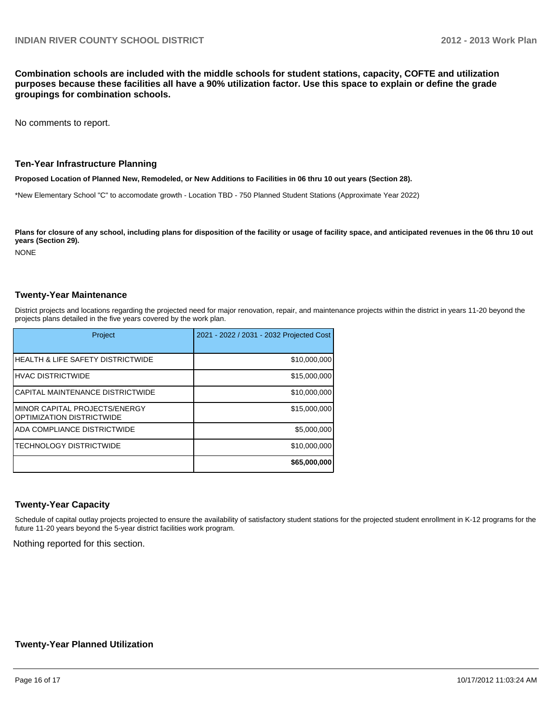**Combination schools are included with the middle schools for student stations, capacity, COFTE and utilization purposes because these facilities all have a 90% utilization factor. Use this space to explain or define the grade groupings for combination schools.**

No comments to report.

#### **Ten-Year Infrastructure Planning**

**Proposed Location of Planned New, Remodeled, or New Additions to Facilities in 06 thru 10 out years (Section 28).**

\*New Elementary School "C" to accomodate growth - Location TBD - 750 Planned Student Stations (Approximate Year 2022)

Plans for closure of any school, including plans for disposition of the facility or usage of facility space, and anticipated revenues in the 06 thru 10 out **years (Section 29).**

NONE

#### **Twenty-Year Maintenance**

District projects and locations regarding the projected need for major renovation, repair, and maintenance projects within the district in years 11-20 beyond the projects plans detailed in the five years covered by the work plan.

| Project                                                      | 2021 - 2022 / 2031 - 2032 Projected Cost |
|--------------------------------------------------------------|------------------------------------------|
| IHEALTH & LIFE SAFETY DISTRICTWIDE                           | \$10,000,000                             |
| IHVAC DISTRICTWIDE                                           | \$15,000,000                             |
| ICAPITAL MAINTENANCE DISTRICTWIDE                            | \$10,000,000                             |
| IMINOR CAPITAL PROJECTS/ENERGY<br>IOPTIMIZATION DISTRICTWIDE | \$15,000,000                             |
| IADA COMPLIANCE DISTRICTWIDE                                 | \$5,000,000                              |
| <b>ITECHNOLOGY DISTRICTWIDE</b>                              | \$10,000,000                             |
|                                                              | \$65,000,000                             |

#### **Twenty-Year Capacity**

Schedule of capital outlay projects projected to ensure the availability of satisfactory student stations for the projected student enrollment in K-12 programs for the future 11-20 years beyond the 5-year district facilities work program.

Nothing reported for this section.

#### **Twenty-Year Planned Utilization**